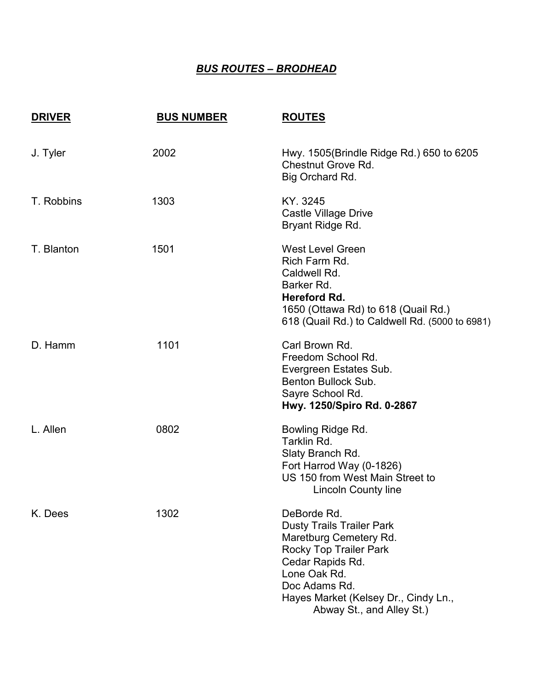## *BUS ROUTES – BRODHEAD*

| <b>DRIVER</b> | <b>BUS NUMBER</b> | <b>ROUTES</b>                                                                                                                                                                                                                        |
|---------------|-------------------|--------------------------------------------------------------------------------------------------------------------------------------------------------------------------------------------------------------------------------------|
| J. Tyler      | 2002              | Hwy. 1505(Brindle Ridge Rd.) 650 to 6205<br><b>Chestnut Grove Rd.</b><br>Big Orchard Rd.                                                                                                                                             |
| T. Robbins    | 1303              | KY. 3245<br><b>Castle Village Drive</b><br>Bryant Ridge Rd.                                                                                                                                                                          |
| T. Blanton    | 1501              | <b>West Level Green</b><br>Rich Farm Rd.<br>Caldwell Rd.<br>Barker Rd.<br><b>Hereford Rd.</b><br>1650 (Ottawa Rd) to 618 (Quail Rd.)<br>618 (Quail Rd.) to Caldwell Rd. (5000 to 6981)                                               |
| D. Hamm       | 1101              | Carl Brown Rd.<br>Freedom School Rd.<br>Evergreen Estates Sub.<br>Benton Bullock Sub.<br>Sayre School Rd.<br>Hwy. 1250/Spiro Rd. 0-2867                                                                                              |
| L. Allen      | 0802              | Bowling Ridge Rd.<br>Tarklin Rd.<br>Slaty Branch Rd.<br>Fort Harrod Way (0-1826)<br>US 150 from West Main Street to<br><b>Lincoln County line</b>                                                                                    |
| K. Dees       | 1302              | DeBorde Rd.<br><b>Dusty Trails Trailer Park</b><br>Maretburg Cemetery Rd.<br><b>Rocky Top Trailer Park</b><br>Cedar Rapids Rd.<br>Lone Oak Rd.<br>Doc Adams Rd.<br>Hayes Market (Kelsey Dr., Cindy Ln.,<br>Abway St., and Alley St.) |